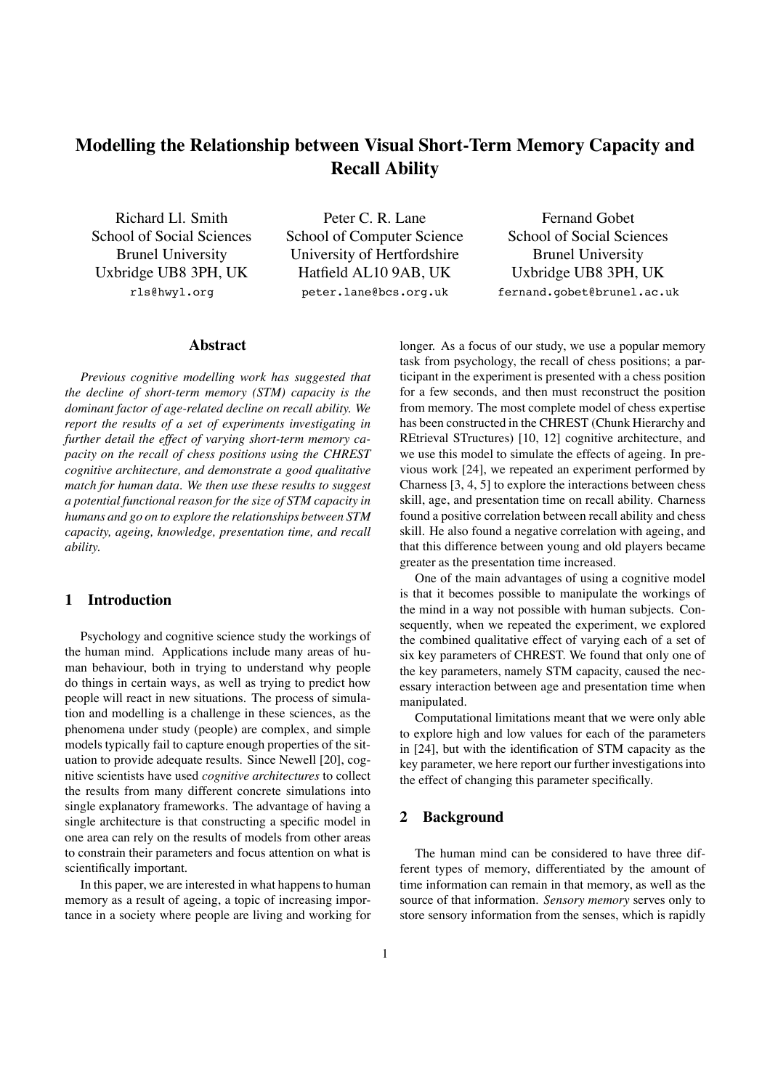# **Modelling the Relationship between Visual Short-Term Memory Capacity and Recall Ability**

Richard Ll. Smith School of Social Sciences Brunel University Uxbridge UB8 3PH, UK rls@hwyl.org

Peter C. R. Lane School of Computer Science University of Hertfordshire Hatfield AL10 9AB, UK peter.lane@bcs.org.uk

Fernand Gobet School of Social Sciences Brunel University Uxbridge UB8 3PH, UK fernand.gobet@brunel.ac.uk

# **Abstract**

*Previous cognitive modelling work has suggested that the decline of short-term memory (STM) capacity is the dominant factor of age-related decline on recall ability. We report the results of a set of experiments investigating in further detail the effect of varying short-term memory capacity on the recall of chess positions using the CHREST cognitive architecture, and demonstrate a good qualitative match for human data. We then use these results to suggest a potential functionalreason for the size of STM capacity in humans and go on to explore the relationships between STM capacity, ageing, knowledge, presentation time, and recall ability.*

# **1 Introduction**

Psychology and cognitive science study the workings of the human mind. Applications include many areas of human behaviour, both in trying to understand why people do things in certain ways, as well as trying to predict how people will react in new situations. The process of simulation and modelling is a challenge in these sciences, as the phenomena under study (people) are complex, and simple models typically fail to capture enough properties of the situation to provide adequate results. Since Newell [20], cognitive scientists have used *cognitive architectures* to collect the results from many different concrete simulations into single explanatory frameworks. The advantage of having a single architecture is that constructing a specific model in one area can rely on the results of models from other areas to constrain their parameters and focus attention on what is scientifically important.

In this paper, we are interested in what happens to human memory as a result of ageing, a topic of increasing importance in a society where people are living and working for longer. As a focus of our study, we use a popular memory task from psychology, the recall of chess positions; a participant in the experiment is presented with a chess position for a few seconds, and then must reconstruct the position from memory. The most complete model of chess expertise has been constructed in the CHREST (Chunk Hierarchy and REtrieval STructures) [10, 12] cognitive architecture, and we use this model to simulate the effects of ageing. In previous work [24], we repeated an experiment performed by Charness [3, 4, 5] to explore the interactions between chess skill, age, and presentation time on recall ability. Charness found a positive correlation between recall ability and chess skill. He also found a negative correlation with ageing, and that this difference between young and old players became greater as the presentation time increased.

One of the main advantages of using a cognitive model is that it becomes possible to manipulate the workings of the mind in a way not possible with human subjects. Consequently, when we repeated the experiment, we explored the combined qualitative effect of varying each of a set of six key parameters of CHREST. We found that only one of the key parameters, namely STM capacity, caused the necessary interaction between age and presentation time when manipulated.

Computational limitations meant that we were only able to explore high and low values for each of the parameters in [24], but with the identification of STM capacity as the key parameter, we here report our further investigations into the effect of changing this parameter specifically.

# **2 Background**

The human mind can be considered to have three different types of memory, differentiated by the amount of time information can remain in that memory, as well as the source of that information. *Sensory memory* serves only to store sensory information from the senses, which is rapidly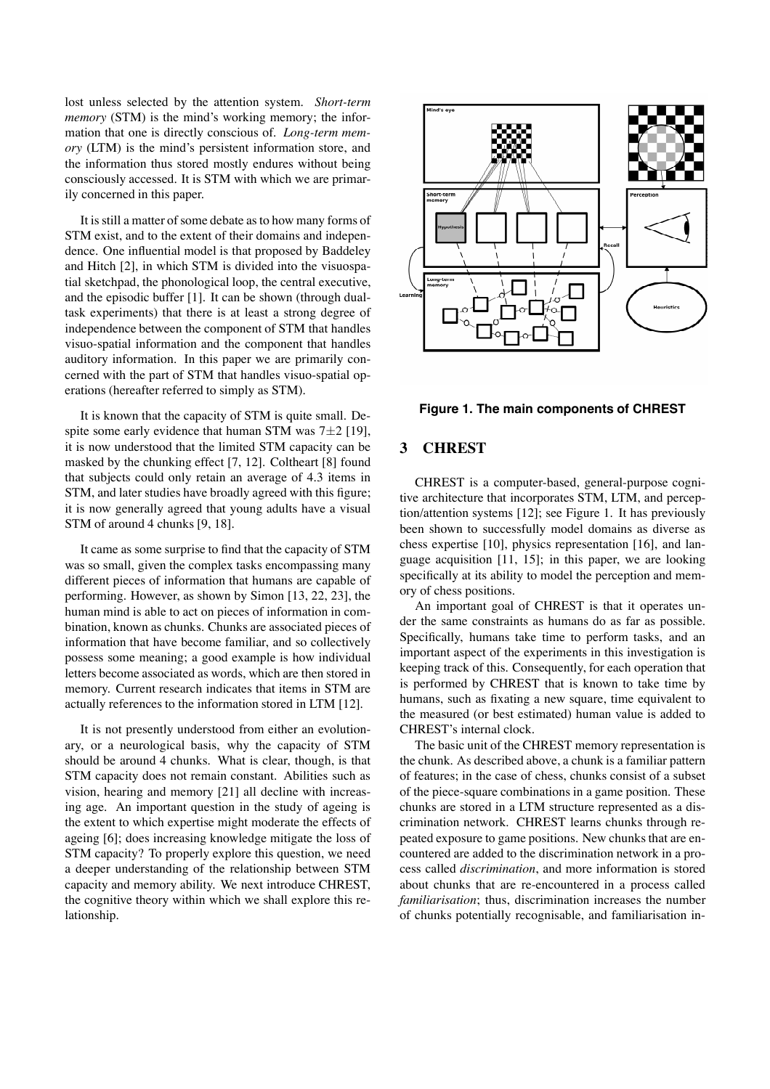lost unless selected by the attention system. *Short-term memory* (STM) is the mind's working memory; the information that one is directly conscious of. *Long-term memory* (LTM) is the mind's persistent information store, and the information thus stored mostly endures without being consciously accessed. It is STM with which we are primarily concerned in this paper.

It is still a matter of some debate as to how many forms of STM exist, and to the extent of their domains and independence. One influential model is that proposed by Baddeley and Hitch [2], in which STM is divided into the visuospatial sketchpad, the phonological loop, the central executive, and the episodic buffer [1]. It can be shown (through dualtask experiments) that there is at least a strong degree of independence between the component of STM that handles visuo-spatial information and the component that handles auditory information. In this paper we are primarily concerned with the part of STM that handles visuo-spatial operations (hereafter referred to simply as STM).

It is known that the capacity of STM is quite small. Despite some early evidence that human STM was  $7\pm2$  [19], it is now understood that the limited STM capacity can be masked by the chunking effect [7, 12]. Coltheart [8] found that subjects could only retain an average of 4.3 items in STM, and later studies have broadly agreed with this figure; it is now generally agreed that young adults have a visual STM of around 4 chunks [9, 18].

It came as some surprise to find that the capacity of STM was so small, given the complex tasks encompassing many different pieces of information that humans are capable of performing. However, as shown by Simon [13, 22, 23], the human mind is able to act on pieces of information in combination, known as chunks. Chunks are associated pieces of information that have become familiar, and so collectively possess some meaning; a good example is how individual letters become associated as words, which are then stored in memory. Current research indicates that items in STM are actually references to the information stored in LTM [12].

It is not presently understood from either an evolutionary, or a neurological basis, why the capacity of STM should be around 4 chunks. What is clear, though, is that STM capacity does not remain constant. Abilities such as vision, hearing and memory [21] all decline with increasing age. An important question in the study of ageing is the extent to which expertise might moderate the effects of ageing [6]; does increasing knowledge mitigate the loss of STM capacity? To properly explore this question, we need a deeper understanding of the relationship between STM capacity and memory ability. We next introduce CHREST, the cognitive theory within which we shall explore this relationship.



#### **Figure 1. The main components of CHREST**

# **3 CHREST**

CHREST is a computer-based, general-purpose cognitive architecture that incorporates STM, LTM, and perception/attention systems [12]; see Figure 1. It has previously been shown to successfully model domains as diverse as chess expertise [10], physics representation [16], and language acquisition [11, 15]; in this paper, we are looking specifically at its ability to model the perception and memory of chess positions.

An important goal of CHREST is that it operates under the same constraints as humans do as far as possible. Specifically, humans take time to perform tasks, and an important aspect of the experiments in this investigation is keeping track of this. Consequently, for each operation that is performed by CHREST that is known to take time by humans, such as fixating a new square, time equivalent to the measured (or best estimated) human value is added to CHREST's internal clock.

The basic unit of the CHREST memory representation is the chunk. As described above, a chunk is a familiar pattern of features; in the case of chess, chunks consist of a subset of the piece-square combinations in a game position. These chunks are stored in a LTM structure represented as a discrimination network. CHREST learns chunks through repeated exposure to game positions. New chunks that are encountered are added to the discrimination network in a process called *discrimination*, and more information is stored about chunks that are re-encountered in a process called *familiarisation*; thus, discrimination increases the number of chunks potentially recognisable, and familiarisation in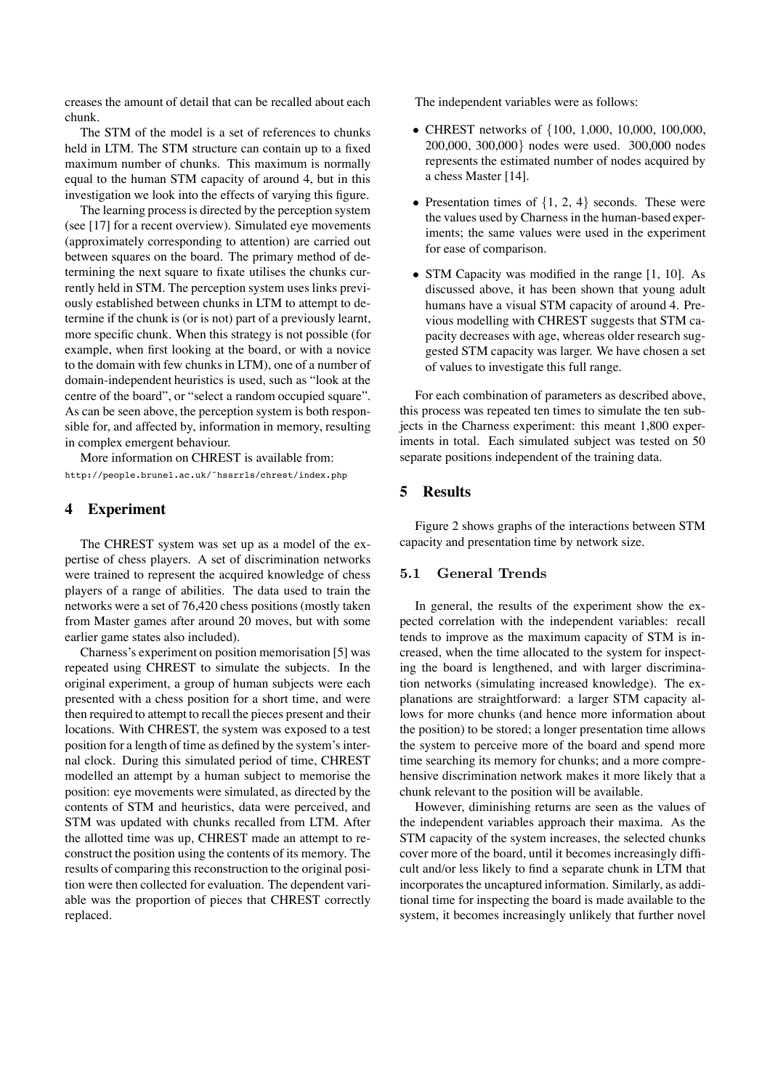creases the amount of detail that can be recalled about each chunk.

The STM of the model is a set of references to chunks held in LTM. The STM structure can contain up to a fixed maximum number of chunks. This maximum is normally equal to the human STM capacity of around 4, but in this investigation we look into the effects of varying this figure.

The learning process is directed by the perception system (see [17] for a recent overview). Simulated eye movements (approximately corresponding to attention) are carried out between squares on the board. The primary method of determining the next square to fixate utilises the chunks currently held in STM. The perception system uses links previously established between chunks in LTM to attempt to determine if the chunk is (or is not) part of a previously learnt, more specific chunk. When this strategy is not possible (for example, when first looking at the board, or with a novice to the domain with few chunksin LTM), one of a number of domain-independent heuristics is used, such as "look at the centre of the board", or "select a random occupied square". As can be seen above, the perception system is both responsible for, and affected by, information in memory, resulting in complex emergent behaviour.

More information on CHREST is available from: http://people.brunel.ac.uk/˜hssrrls/chrest/index.php

# **4 Experiment**

The CHREST system was set up as a model of the expertise of chess players. A set of discrimination networks were trained to represent the acquired knowledge of chess players of a range of abilities. The data used to train the networks were a set of 76,420 chess positions (mostly taken from Master games after around 20 moves, but with some earlier game states also included).

Charness's experiment on position memorisation [5] was repeated using CHREST to simulate the subjects. In the original experiment, a group of human subjects were each presented with a chess position for a short time, and were then required to attempt to recall the pieces present and their locations. With CHREST, the system was exposed to a test position for a length of time as defined by the system's internal clock. During this simulated period of time, CHREST modelled an attempt by a human subject to memorise the position: eye movements were simulated, as directed by the contents of STM and heuristics, data were perceived, and STM was updated with chunks recalled from LTM. After the allotted time was up, CHREST made an attempt to reconstruct the position using the contents of its memory. The results of comparing this reconstruction to the original position were then collected for evaluation. The dependent variable was the proportion of pieces that CHREST correctly replaced.

The independent variables were as follows:

- CHREST networks of {100, 1,000, 10,000, 100,000, 200,000, 300,000} nodes were used. 300,000 nodes represents the estimated number of nodes acquired by a chess Master [14].
- Presentation times of  $\{1, 2, 4\}$  seconds. These were the values used by Charness in the human-based experiments; the same values were used in the experiment for ease of comparison.
- STM Capacity was modified in the range [1, 10]. As discussed above, it has been shown that young adult humans have a visual STM capacity of around 4. Previous modelling with CHREST suggests that STM capacity decreases with age, whereas older research suggested STM capacity was larger. We have chosen a set of values to investigate this full range.

For each combination of parameters as described above, this process was repeated ten times to simulate the ten subjects in the Charness experiment: this meant 1,800 experiments in total. Each simulated subject was tested on 50 separate positions independent of the training data.

### **5 Results**

Figure 2 shows graphs of the interactions between STM capacity and presentation time by network size.

### 5.1 General Trends

In general, the results of the experiment show the expected correlation with the independent variables: recall tends to improve as the maximum capacity of STM is increased, when the time allocated to the system for inspecting the board is lengthened, and with larger discrimination networks (simulating increased knowledge). The explanations are straightforward: a larger STM capacity allows for more chunks (and hence more information about the position) to be stored; a longer presentation time allows the system to perceive more of the board and spend more time searching its memory for chunks; and a more comprehensive discrimination network makes it more likely that a chunk relevant to the position will be available.

However, diminishing returns are seen as the values of the independent variables approach their maxima. As the STM capacity of the system increases, the selected chunks cover more of the board, until it becomes increasingly difficult and/or less likely to find a separate chunk in LTM that incorporates the uncaptured information. Similarly, as additional time for inspecting the board is made available to the system, it becomes increasingly unlikely that further novel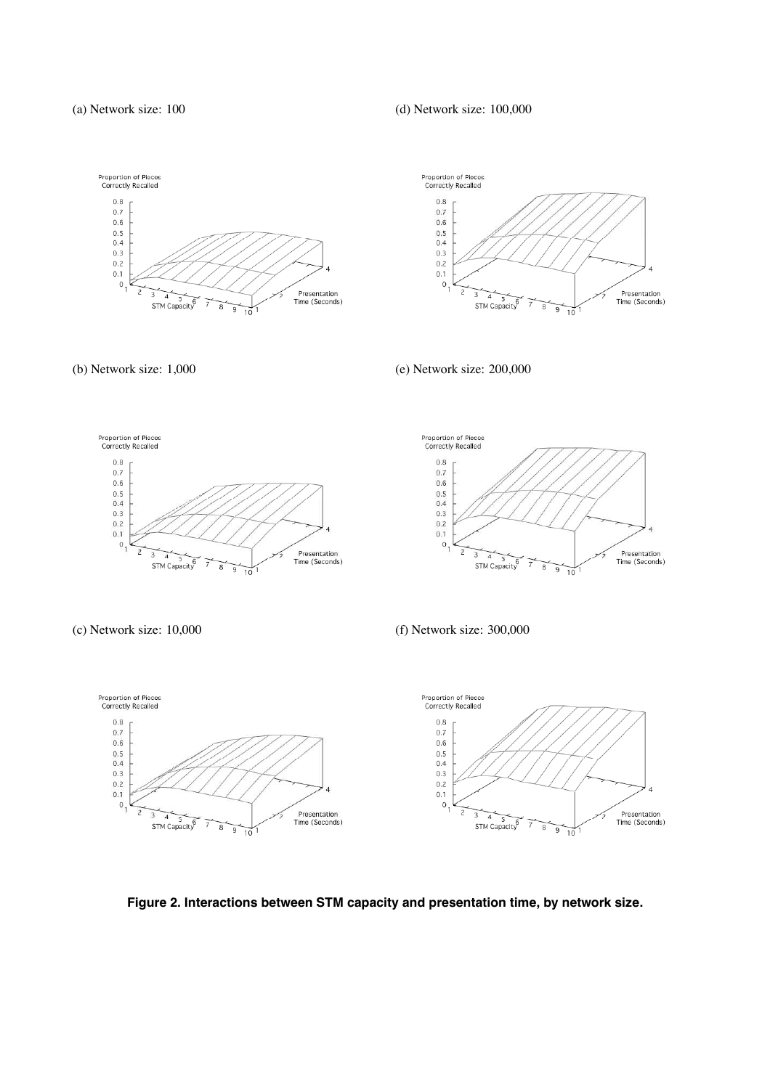(a) Network size: 100 (d) Network size: 100,000



Proportion of Pieces<br>Correctly Recalled  $0.8$  $0.7$  $0.6$  $0.5$ <br>0.4  $0.3$  $0.2$ 4  $0.1$  $\boldsymbol{0}$ Presentation<br>Time (Seconds)  $\overline{2}$ -3 ⋾  $STM$  Capacity  $\overline{7}$  $\overline{8}$  $\overline{9}$  $\overrightarrow{10}$ 

(b) Network size: 1,000 (e) Network size: 200,000





(c) Network size: 10,000 (f) Network size: 300,000



**Figure 2. Interactions between STM capacity and presentation time, by network size.**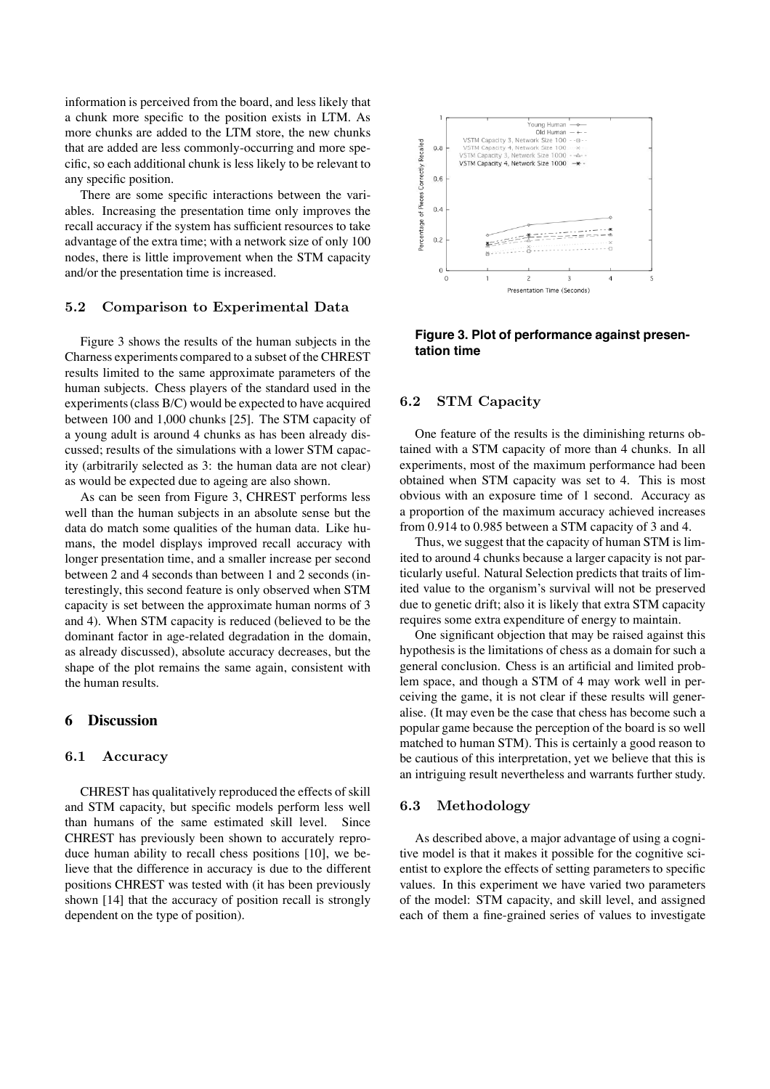information is perceived from the board, and less likely that a chunk more specific to the position exists in LTM. As more chunks are added to the LTM store, the new chunks that are added are less commonly-occurring and more specific, so each additional chunk is less likely to be relevant to any specific position.

There are some specific interactions between the variables. Increasing the presentation time only improves the recall accuracy if the system has sufficient resources to take advantage of the extra time; with a network size of only 100 nodes, there is little improvement when the STM capacity and/or the presentation time is increased.

#### 5.2 Comparison to Experimental Data

Figure 3 shows the results of the human subjects in the Charness experiments compared to a subset of the CHREST results limited to the same approximate parameters of the human subjects. Chess players of the standard used in the experiments(class B/C) would be expected to have acquired between 100 and 1,000 chunks [25]. The STM capacity of a young adult is around 4 chunks as has been already discussed; results of the simulations with a lower STM capacity (arbitrarily selected as 3: the human data are not clear) as would be expected due to ageing are also shown.

As can be seen from Figure 3, CHREST performs less well than the human subjects in an absolute sense but the data do match some qualities of the human data. Like humans, the model displays improved recall accuracy with longer presentation time, and a smaller increase per second between 2 and 4 seconds than between 1 and 2 seconds (interestingly, this second feature is only observed when STM capacity is set between the approximate human norms of 3 and 4). When STM capacity is reduced (believed to be the dominant factor in age-related degradation in the domain, as already discussed), absolute accuracy decreases, but the shape of the plot remains the same again, consistent with the human results.

#### **6 Discussion**

#### 6.1 Accuracy

CHREST has qualitatively reproduced the effects of skill and STM capacity, but specific models perform less well than humans of the same estimated skill level. Since CHREST has previously been shown to accurately reproduce human ability to recall chess positions [10], we believe that the difference in accuracy is due to the different positions CHREST was tested with (it has been previously shown [14] that the accuracy of position recall is strongly dependent on the type of position).



**Figure 3. Plot of performance against presentation time**

# 6.2 STM Capacity

One feature of the results is the diminishing returns obtained with a STM capacity of more than 4 chunks. In all experiments, most of the maximum performance had been obtained when STM capacity was set to 4. This is most obvious with an exposure time of 1 second. Accuracy as a proportion of the maximum accuracy achieved increases from 0.914 to 0.985 between a STM capacity of 3 and 4.

Thus, we suggest that the capacity of human STM is limited to around 4 chunks because a larger capacity is not particularly useful. Natural Selection predicts that traits of limited value to the organism's survival will not be preserved due to genetic drift; also it is likely that extra STM capacity requires some extra expenditure of energy to maintain.

One significant objection that may be raised against this hypothesis is the limitations of chess as a domain for such a general conclusion. Chess is an artificial and limited problem space, and though a STM of 4 may work well in perceiving the game, it is not clear if these results will generalise. (It may even be the case that chess has become such a popular game because the perception of the board is so well matched to human STM). This is certainly a good reason to be cautious of this interpretation, yet we believe that this is an intriguing result nevertheless and warrants further study.

#### 6.3 Methodology

As described above, a major advantage of using a cognitive model is that it makes it possible for the cognitive scientist to explore the effects of setting parameters to specific values. In this experiment we have varied two parameters of the model: STM capacity, and skill level, and assigned each of them a fine-grained series of values to investigate